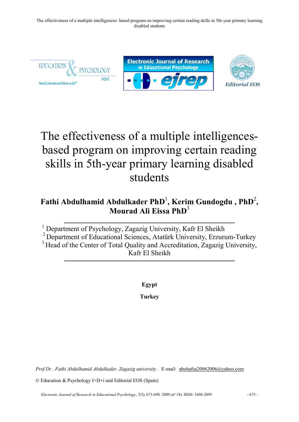

# The effectiveness of a multiple intelligencesbased program on improving certain reading skills in 5th-year primary learning disabled students

## **Fathi Abdulhamid Abdulkader PhD** 1 **, Kerim Gundogdu , PhD**<sup>2</sup> **, Mourad Ali Eissa PhD** 3

<sup>1</sup> Department of Psychology, Zagazig University, Kafr El Sheikh

<sup>2</sup> Department of Educational Sciences, Atatürk University, Erzurum-Turkey

<sup>3</sup> Head of the Center of Total Quality and Accreditation, Zagazig University, Kafr El Sheikh

**Egypt**

**Turkey**

*Prof Dr . Fathi Abdulhamid Abdulkader*. *Zagazig university* . E-mail[: abohafsa20062006@yahoo.com](mailto:a.thurston@dundee.ac.uk) 

© Education & Psychology I+D+i and Editorial EOS (Spain)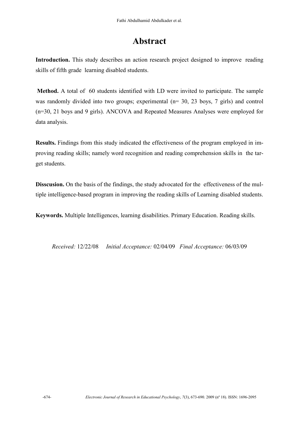## **Abstract**

Introduction. This study describes an action research project designed to improve reading skills of fifth grade learning disabled students.

**Method.** A total of 60 students identified with LD were invited to participate. The sample was randomly divided into two groups; experimental (n= 30, 23 boys, 7 girls) and control (n=30, 21 boys and 9 girls). ANCOVA and Repeated Measures Analyses were employed for data analysis.

**Results.** Findings from this study indicated the effectiveness of the program employed in improving reading skills; namely word recognition and reading comprehension skills in the target students.

**Disscusion.** On the basis of the findings, the study advocated for the effectiveness of the multiple intelligence-based program in improving the reading skills of Learning disabled students.

**Keywords.** Multiple Intelligences, learning disabilities. Primary Education. Reading skills.

*Received:* 12/22/08 *Initial Acceptance:* 02/04/09 *Final Acceptance:* 06/03/09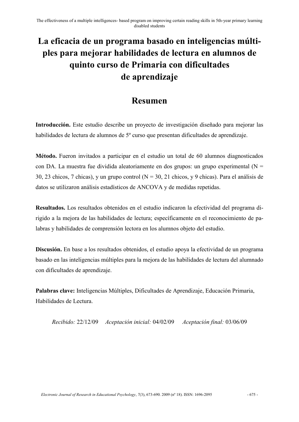## **La eficacia de un programa basado en inteligencias múltiples para mejorar habilidades de lectura en alumnos de quinto curso de Primaria con dificultades de aprendizaje**

### **Resumen**

**Introducción.** Este estudio describe un proyecto de investigación diseñado para mejorar las habilidades de lectura de alumnos de 5º curso que presentan dificultades de aprendizaje.

**Método.** Fueron invitados a participar en el estudio un total de 60 alumnos diagnosticados con DA. La muestra fue dividida aleatoriamente en dos grupos: un grupo experimental ( $N =$ 30, 23 chicos, 7 chicas), y un grupo control ( $N = 30$ , 21 chicos, y 9 chicas). Para el análisis de datos se utilizaron análisis estadísticos de ANCOVA y de medidas repetidas.

**Resultados.** Los resultados obtenidos en el estudio indicaron la efectividad del programa dirigido a la mejora de las habilidades de lectura; específicamente en el reconocimiento de palabras y habilidades de comprensión lectora en los alumnos objeto del estudio.

**Discusión.** En base a los resultados obtenidos, el estudio apoya la efectividad de un programa basado en las inteligencias múltiples para la mejora de las habilidades de lectura del alumnado con dificultades de aprendizaje.

**Palabras clave:** Inteligencias Múltiples, Dificultades de Aprendizaje, Educación Primaria, Habilidades de Lectura.

*Recibido:* 22/12/09 *Aceptación inicial:* 04/02/09 *Aceptación final:* 03/06/09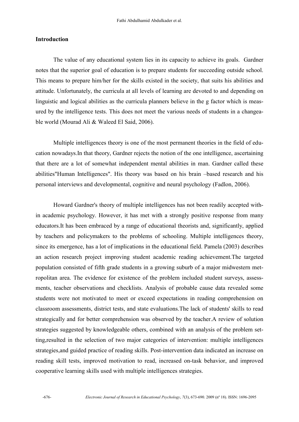#### **Introduction**

 The value of any educational system lies in its capacity to achieve its goals. Gardner notes that the superior goal of education is to prepare students for succeeding outside school. This means to prepare him/her for the skills existed in the society, that suits his abilities and attitude. Unfortunately, the curricula at all levels of learning are devoted to and depending on linguistic and logical abilities as the curricula planners believe in the g factor which is measured by the intelligence tests. This does not meet the various needs of students in a changeable world (Mourad Ali & Waleed El Said, 2006).

Multiple intelligences theory is one of the most permanent theories in the field of education nowadays.In that theory, Gardner rejects the notion of the one intelligence, ascertaining that there are a lot of somewhat independent mental abilities in man. Gardner called these abilities"Human Intelligences". His theory was based on his brain –based research and his personal interviews and developmental, cognitive and neural psychology (Fadlon, 2006).

 Howard Gardner's theory of multiple intelligences has not been readily accepted within academic psychology. However, it has met with a strongly positive response from many educators.It has been embraced by a range of educational theorists and, significantly, applied by teachers and policymakers to the problems of schooling. Multiple intelligences theory, since its emergence, has a lot of implications in the educational field. Pamela (2003) describes an action research project improving student academic reading achievement.The targeted population consisted of fifth grade students in a growing suburb of a major midwestern metropolitan area. The evidence for existence of the problem included student surveys, assessments, teacher observations and checklists. Analysis of probable cause data revealed some students were not motivated to meet or exceed expectations in reading comprehension on classroom assessments, district tests, and state evaluations.The lack of students' skills to read strategically and for better comprehension was observed by the teacher.A review of solution strategies suggested by knowledgeable others, combined with an analysis of the problem setting,resulted in the selection of two major categories of intervention: multiple intelligences strategies,and guided practice of reading skills. Post-intervention data indicated an increase on reading skill tests, improved motivation to read, increased on-task behavior, and improved cooperative learning skills used with multiple intelligences strategies.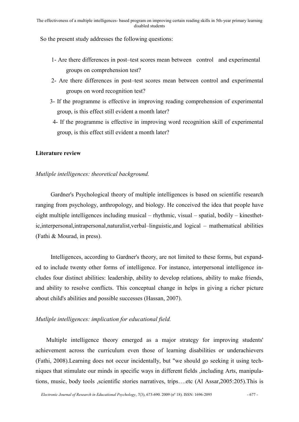So the present study addresses the following questions:

- 1- Are there differences in post–test scores mean between control and experimental groups on comprehension test?
- 2- Are there differences in post–test scores mean between control and experimental groups on word recognition test?
- 3- If the programme is effective in improving reading comprehension of experimental group, is this effect still evident a month later?
- 4- If the programme is effective in improving word recognition skill of experimental group, is this effect still evident a month later?

#### **Literature review**

#### *Mutliple intelligences: theoretical background.*

 Gardner's Psychological theory of multiple intelligences is based on scientific research ranging from psychology, anthropology, and biology. He conceived the idea that people have eight multiple intelligences including musical – rhythmic, visual – spatial, bodily – kinesthetic,interpersonal,intrapersonal,naturalist,verbal–linguistic,and logical – mathematical abilities (Fathi & Mourad, in press).

 Intelligences, according to Gardner's theory, are not limited to these forms, but expanded to include twenty other forms of intelligence. For instance, interpersonal intelligence includes four distinct abilities: leadership, ability to develop relations, ability to make friends, and ability to resolve conflicts. This conceptual change in helps in giving a richer picture about child's abilities and possible successes (Hassan, 2007).

#### *Mutliple intelligences: implication for educational field.*

 Multiple intelligence theory emerged as a major strategy for improving students' achievement across the curriculum even those of learning disabilities or underachievers (Fathi, 2008).Learning does not occur incidentally, but "we should go seeking it using techniques that stimulate our minds in specific ways in different fields ,including Arts, manipulations, music, body tools ,scientific stories narratives, trips….etc (Al Assar,2005:205).This is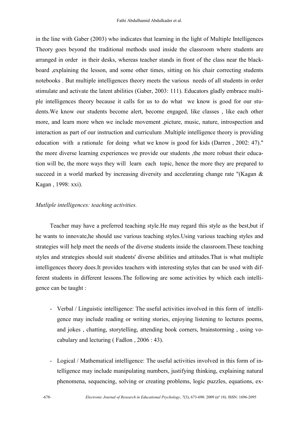in the line with Gaber (2003) who indicates that learning in the light of Multiple Intelligences Theory goes beyond the traditional methods used inside the classroom where students are arranged in order in their desks, whereas teacher stands in front of the class near the blackboard ,explaining the lesson, and some other times, sitting on his chair correcting students notebooks . But multiple intelligences theory meets the various needs of all students in order stimulate and activate the latent abilities (Gaber, 2003: 111). Educators gladly embrace multiple intelligences theory because it calls for us to do what we know is good for our students.We know our students become alert, become engaged, like classes , like each other more, and learn more when we include movement ,picture, music, nature, introspection and interaction as part of our instruction and curriculum .Multiple intelligence theory is providing education with a rationale for doing what we know is good for kids (Darren , 2002: 47)." the more diverse learning experiences we provide our students ,the more robust their education will be, the more ways they will learn each topic, hence the more they are prepared to succeed in a world marked by increasing diversity and accelerating change rate "(Kagan & Kagan , 1998: xxi).

#### *Mutliple intelligences: teaching activities.*

Teacher may have a preferred teaching style.He may regard this style as the best,but if he wants to innovate,he should use various teaching styles.Using various teaching styles and strategies will help meet the needs of the diverse students inside the classroom.These teaching styles and strategies should suit students' diverse abilities and attitudes.That is what multiple intelligences theory does.It provides teachers with interesting styles that can be used with different students in different lessons.The following are some activities by which each intelligence can be taught :

- Verbal / Linguistic intelligence: The useful activities involved in this form of intelligence may include reading or writing stories, enjoying listening to lectures poems, and jokes , chatting, storytelling, attending book corners, brainstorming , using vocabulary and lecturing ( Fadlon , 2006 : 43).
- Logical / Mathematical intelligence: The useful activities involved in this form of intelligence may include manipulating numbers, justifying thinking, explaining natural phenomena, sequencing, solving or creating problems, logic puzzles, equations, ex-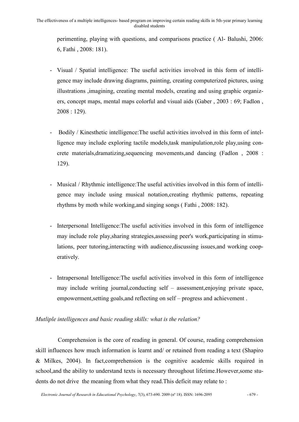perimenting, playing with questions, and comparisons practice ( Al- Balushi, 2006: 6, Fathi , 2008: 181).

- Visual / Spatial intelligence: The useful activities involved in this form of intelligence may include drawing diagrams, painting, creating computerized pictures, using illustrations ,imagining, creating mental models, creating and using graphic organizers, concept maps, mental maps colorful and visual aids (Gaber , 2003 : 69; Fadlon , 2008 : 129).
- Bodily / Kinesthetic intelligence:The useful activities involved in this form of intelligence may include exploring tactile models,task manipulation,role play,using concrete materials,dramatizing,sequencing movements,and dancing (Fadlon , 2008 : 129).
- Musical / Rhythmic intelligence:The useful activities involved in this form of intelligence may include using musical notation,creating rhythmic patterns, repeating rhythms by moth while working,and singing songs ( Fathi , 2008: 182).
- Interpersonal Intelligence:The useful activities involved in this form of intelligence may include role play,sharing strategies,assessing peer's work,participating in stimulations, peer tutoring,interacting with audience,discussing issues,and working cooperatively.
- Intrapersonal Intelligence:The useful activities involved in this form of intelligence may include writing journal,conducting self – assessment,enjoying private space, empowerment,setting goals,and reflecting on self – progress and achievement .

#### *Mutliple intelligences and basic reading skills: what is the relation?*

Comprehension is the core of reading in general. Of course, reading comprehension skill influences how much information is learnt and/ or retained from reading a text (Shapiro & Milkes, 2004). In fact,comprehension is the cognitive academic skills required in school,and the ability to understand texts is necessary throughout lifetime.However,some students do not drive the meaning from what they read.This deficit may relate to :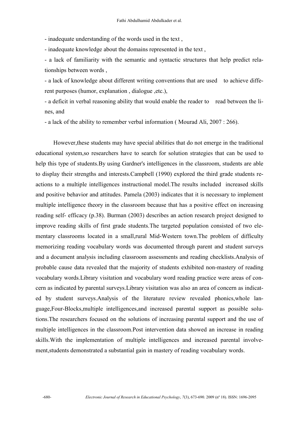- inadequate understanding of the words used in the text ,

- inadequate knowledge about the domains represented in the text ,

- a lack of familiarity with the semantic and syntactic structures that help predict relationships between words ,

- a lack of knowledge about different writing conventions that are used to achieve different purposes (humor, explanation , dialogue ,etc.),

- a deficit in verbal reasoning ability that would enable the reader to read between the lines, and

- a lack of the ability to remember verbal information ( Mourad Ali, 2007 : 266).

However,these students may have special abilities that do not emerge in the traditional educational system,so researchers have to search for solution strategies that can be used to help this type of students.By using Gardner's intelligences in the classroom, students are able to display their strengths and interests.Campbell (1990) explored the third grade students reactions to a multiple intelligences instructional model.The results included increased skills and positive behavior and attitudes. Pamela (2003) indicates that it is necessary to implement multiple intelligence theory in the classroom because that has a positive effect on increasing reading self- efficacy (p.38). Burman (2003) describes an action research project designed to improve reading skills of first grade students.The targeted population consisted of two elementary classrooms located in a small,rural Mid-Western town.The problem of difficulty memorizing reading vocabulary words was documented through parent and student surveys and a document analysis including classroom assessments and reading checklists.Analysis of probable cause data revealed that the majority of students exhibited non-mastery of reading vocabulary words.Library visitation and vocabulary word reading practice were areas of concern as indicated by parental surveys.Library visitation was also an area of concern as indicated by student surveys.Analysis of the literature review revealed phonics,whole language,Four-Blocks,multiple intelligences,and increased parental support as possible solutions.The researchers focused on the solutions of increasing parental support and the use of multiple intelligences in the classroom.Post intervention data showed an increase in reading skills.With the implementation of multiple intelligences and increased parental involvement,students demonstrated a substantial gain in mastery of reading vocabulary words.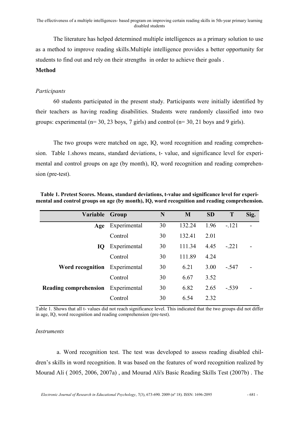The literature has helped determined multiple intelligences as a primary solution to use as a method to improve reading skills.Multiple intelligence provides a better opportunity for students to find out and rely on their strengths in order to achieve their goals .

#### **Method**

#### *Participants*

60 students participated in the present study. Participants were initially identified by their teachers as having reading disabilities. Students were randomly classified into two groups: experimental ( $n=$  30, 23 boys, 7 girls) and control ( $n=$  30, 21 boys and 9 girls).

 The two groups were matched on age, IQ, word recognition and reading comprehension. Table 1.shows means, standard deviations, t- value, and significance level for experimental and control groups on age (by month), IQ, word recognition and reading comprehension (pre-test).

| Variable                     | Group        | N  | M      | <b>SD</b> | T       | Sig. |
|------------------------------|--------------|----|--------|-----------|---------|------|
| Age                          | Experimental | 30 | 132.24 | 1.96      | $-.121$ |      |
|                              | Control      | 30 | 132.41 | 2.01      |         |      |
| IQ                           | Experimental | 30 | 111.34 | 4.45      | $-.221$ |      |
|                              | Control      | 30 | 111.89 | 4.24      |         |      |
| Word recognition             | Experimental | 30 | 6.21   | 3.00      | $-.547$ |      |
|                              | Control      | 30 | 6.67   | 3.52      |         |      |
| <b>Reading comprehension</b> | Experimental | 30 | 6.82   | 2.65      | $-.539$ |      |
|                              | Control      | 30 | 6.54   | 2.32      |         |      |

**Table 1. Pretest Scores. Means, standard deviations, t-value and significance level for experimental and control groups on age (by month), IQ, word recognition and reading comprehension.**

Table 1. Shows that all t- values did not reach significance level. This indicated that the two groups did not differ in age, IQ, word recognition and reading comprehension (pre-test).

#### *Instruments*

 a. Word recognition test. The test was developed to assess reading disabled children's skills in word recognition. It was based on the features of word recognition realized by Mourad Ali ( 2005, 2006, 2007a) , and Mourad Ali's Basic Reading Skills Test (2007b) . The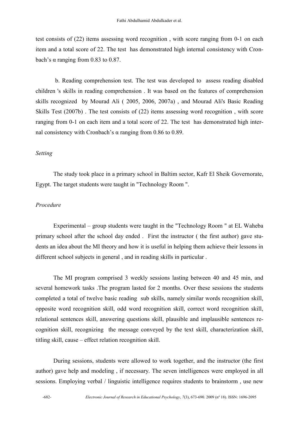test consists of (22) items assessing word recognition , with score ranging from 0-1 on each item and a total score of 22. The test has demonstrated high internal consistency with Cronbach's α ranging from 0.83 to 0.87.

 b. Reading comprehension test. The test was developed to assess reading disabled children 's skills in reading comprehension . It was based on the features of comprehension skills recognized by Mourad Ali ( 2005, 2006, 2007a) , and Mourad Ali's Basic Reading Skills Test (2007b) . The test consists of (22) items assessing word recognition , with score ranging from 0-1 on each item and a total score of 22. The test has demonstrated high internal consistency with Cronbach's α ranging from 0.86 to 0.89.

#### *Setting*

The study took place in a primary school in Baltim sector, Kafr El Sheik Governorate, Egypt. The target students were taught in "Technology Room ".

#### *Procedure*

Experimental – group students were taught in the "Technology Room " at EL Waheba primary school after the school day ended . First the instructor ( the first author) gave students an idea about the MI theory and how it is useful in helping them achieve their lessons in different school subjects in general , and in reading skills in particular .

The MI program comprised 3 weekly sessions lasting between 40 and 45 min, and several homework tasks .The program lasted for 2 months. Over these sessions the students completed a total of twelve basic reading sub skills, namely similar words recognition skill, opposite word recognition skill, odd word recognition skill, correct word recognition skill, relational sentences skill, answering questions skill, plausible and implausible sentences recognition skill, recognizing the message conveyed by the text skill, characterization skill, titling skill, cause – effect relation recognition skill.

During sessions, students were allowed to work together, and the instructor (the first author) gave help and modeling , if necessary. The seven intelligences were employed in all sessions. Employing verbal / linguistic intelligence requires students to brainstorm , use new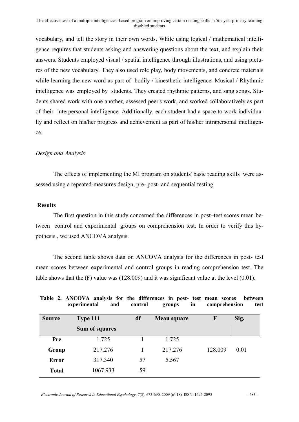vocabulary, and tell the story in their own words. While using logical / mathematical intelligence requires that students asking and answering questions about the text, and explain their answers. Students employed visual / spatial intelligence through illustrations, and using pictures of the new vocabulary. They also used role play, body movements, and concrete materials while learning the new word as part of bodily / kinesthetic intelligence. Musical / Rhythmic intelligence was employed by students. They created rhythmic patterns, and sang songs. Students shared work with one another, assessed peer's work, and worked collaboratively as part of their interpersonal intelligence. Additionally, each student had a space to work individually and reflect on his/her progress and achievement as part of his/her intrapersonal intelligence.

#### *Design and Analysis*

The effects of implementing the MI program on students' basic reading skills were assessed using a repeated-measures design, pre- post- and sequential testing.

#### **Results**

The first question in this study concerned the differences in post–test scores mean between control and experimental groups on comprehension test. In order to verify this hypothesis , we used ANCOVA analysis.

The second table shows data on ANCOVA analysis for the differences in post- test mean scores between experimental and control groups in reading comprehension test. The table shows that the (F) value was (128.009) and it was significant value at the level (0.01).

|               | Table 2. ANCOVA analysis for the differences in post- test mean scores<br>experimental<br>and | control | in<br>groups | comprehension | between<br>test |
|---------------|-----------------------------------------------------------------------------------------------|---------|--------------|---------------|-----------------|
| <b>Source</b> | Type 111                                                                                      | df      | Mean square  | F             | Sig.            |
|               | Sum of squares                                                                                |         |              |               |                 |
| Pre           | 1.725                                                                                         |         | 1.725        |               |                 |
| Group         | 217.276                                                                                       |         | 217.276      | 128.009       | 0.01            |
| <b>Error</b>  | 317.340                                                                                       | 57      | 5.567        |               |                 |
| <b>Total</b>  | 1067.933                                                                                      | 59      |              |               |                 |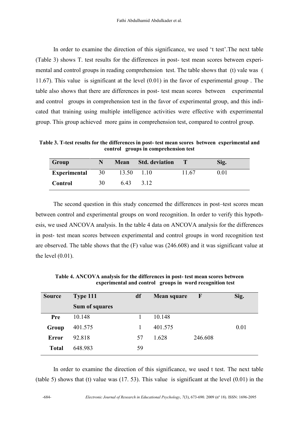In order to examine the direction of this significance, we used 't test'.The next table (Table 3) shows T. test results for the differences in post- test mean scores between experimental and control groups in reading comprehension test. The table shows that (t) vale was ( 11.67). This value is significant at the level (0.01) in the favor of experimental group . The table also shows that there are differences in post- test mean scores between experimental and control groups in comprehension test in the favor of experimental group, and this indicated that training using multiple intelligence activities were effective with experrimental group. This group achieved more gains in comprehension test, compared to control group.

**Table 3. T-test results for the differences in post- test mean scores between experimental and control groups in comprehension test**

| Group               |    | <b>Mean</b> | <b>Std.</b> deviation |       | Sig. |
|---------------------|----|-------------|-----------------------|-------|------|
| <b>Experimental</b> | 30 | 13.50       | 1 10                  | 11.67 | 0 01 |
| Control             | 30 | 643         | 3.12                  |       |      |

The second question in this study concerned the differences in post–test scores mean between control and experimental groups on word recognition. In order to verify this hypothesis, we used ANCOVA analysis. In the table 4 data on ANCOVA analysis for the differences in post- test mean scores between experimental and control groups in word recognition test are observed. The table shows that the (F) value was (246.608) and it was significant value at the level  $(0.01)$ .

**Source Type 111 Sum of squares df Mean square F Sig. Pre Group Error Total** 10.148 401.575 92.818 648.983 1 1 57 59 10.148 401.575 1.628 246.608 0.01

**Table 4. ANCOVA analysis for the differences in post- test mean scores between experimental and control groups in word recognition test** 

In order to examine the direction of this significance, we used t test. The next table (table 5) shows that (t) value was (17. 53). This value is significant at the level (0.01) in the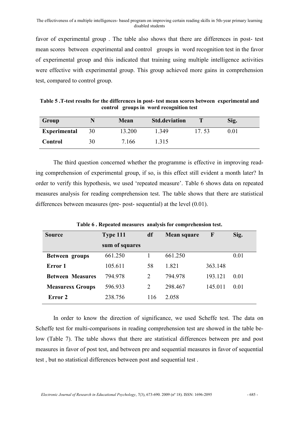favor of experimental group . The table also shows that there are differences in post- test mean scores between experimental and control groups in word recognition test in the favor of experimental group and this indicated that training using multiple intelligence activities were effective with experimental group. This group achieved more gains in comprehension test, compared to control group.

**Table 5 .T-test results for the differences in post- test mean scores between experimental and control groups in word recognition test**

| Group               |    | Mean   | <b>Std.deviation</b> |       | Sig. |
|---------------------|----|--------|----------------------|-------|------|
| <b>Experimental</b> | 30 | 13.200 | 1 349                | 17.53 | 0 01 |
| Control             | 30 | 7 166  | 1.315                |       |      |

The third question concerned whether the programme is effective in improving reading comprehension of experimental group, if so, is this effect still evident a month later? In order to verify this hypothesis, we used 'repeated measure'. Table 6 shows data on repeated measures analysis for reading comprehension test. The table shows that there are statistical differences between measures (pre- post- sequential) at the level (0.01).

| <b>Source</b>           | Type 111       | df  | <b>Mean square</b> | $\mathbf{F}$ | Sig. |
|-------------------------|----------------|-----|--------------------|--------------|------|
|                         | sum of squares |     |                    |              |      |
| Between groups          | 661.250        |     | 661.250            |              | 0.01 |
| Error 1                 | 105.611        | 58  | 1.821              | 363.148      |      |
| <b>Between Measures</b> | 794.978        | 2   | 794.978            | 193.121      | 0.01 |
| <b>Measuresx Groups</b> | 596.933        | 2   | 298.467            | 145.011      | 0.01 |
| Error 2                 | 238.756        | 116 | 2 0 5 8            |              |      |

**Table 6 . Repeated measures analysis for comprehension test.**

In order to know the direction of significance, we used Scheffe test. The data on Scheffe test for multi-comparisons in reading comprehension test are showed in the table below (Table 7). The table shows that there are statistical differences between pre and post measures in favor of post test, and between pre and sequential measures in favor of sequential test , but no statistical differences between post and sequential test .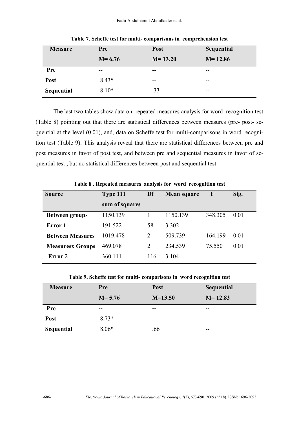Fathi Abdulhamid Abdulkader et al.

| <b>Measure</b> | <b>Pre</b> | <b>Post</b> | Sequential  |
|----------------|------------|-------------|-------------|
|                | $M = 6.76$ | $M = 13.20$ | $M = 12.86$ |
| <b>Pre</b>     | $- -$      | --          | $- -$       |
| Post           | $8.43*$    | $- -$       | --          |
| Sequential     | $8.10*$    | .33         | --          |

**Table 7. Scheffe test for multi- comparisons in comprehension test**

The last two tables show data on repeated measures analysis for word recognition test (Table 8) pointing out that there are statistical differences between measures (pre- post- sequential at the level (0.01), and, data on Scheffe test for multi-comparisons in word recognition test (Table 9). This analysis reveal that there are statistical differences between pre and post measures in favor of post test, and between pre and sequential measures in favor of sequential test , but no statistical differences between post and sequential test.

| <b>Source</b>           | Type 111       | Df  | Mean square | $\mathbf{F}$ | Sig. |
|-------------------------|----------------|-----|-------------|--------------|------|
|                         | sum of squares |     |             |              |      |
| <b>Between groups</b>   | 1150.139       |     | 1150.139    | 348.305      | 0.01 |
| Error 1                 | 191.522        | 58  | 3.302       |              |      |
| <b>Between Measures</b> | 1019.478       | 2   | 509.739     | 164.199      | 0.01 |
| <b>Measuresx Groups</b> | 469.078        | 2   | 234.539     | 75.550       | 0.01 |
| Error 2                 | 360.111        | 116 | 3 1 0 4     |              |      |

**Table 8 . Repeated measures analysis for word recognition test**

**Table 9. Scheffe test for multi- comparisons in word recognition test**

| <b>Measure</b> | Pre        | Post      | Sequential  |
|----------------|------------|-----------|-------------|
|                | $M = 5.76$ | $M=13.50$ | $M = 12.83$ |
| <b>Pre</b>     | --         | --        | --          |
| Post           | $8.73*$    | --        | $- -$       |
| Sequential     | $8.06*$    | .66       | --          |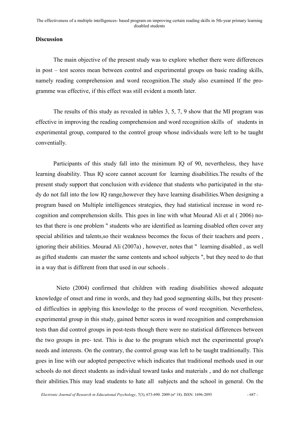#### **Discussion**

The main objective of the present study was to explore whether there were differences in post – test scores mean between control and experimental groups on basic reading skills, namely reading comprehension and word recognition.The study also examined If the programme was effective, if this effect was still evident a month later.

The results of this study as revealed in tables 3, 5, 7, 9 show that the MI program was effective in improving the reading comprehension and word recognition skills of students in experimental group, compared to the control group whose individuals were left to be taught conventially.

Participants of this study fall into the minimum IQ of 90, nevertheless, they have learning disability. Thus IQ score cannot account for learning disabilities.The results of the present study support that conclusion with evidence that students who participated in the study do not fall into the low IQ range,however they have learning disabilities.When designing a program based on Multiple intelligences strategies, they had statistical increase in word recognition and comprehension skills. This goes in line with what Mourad Ali et al ( 2006) notes that there is one problem " students who are identified as learning disabled often cover any special abilities and talents,so their weakness becomes the focus of their teachers and peers , ignoring their abilities. Mourad Ali (2007a) , however, notes that " learning disabled , as well as gifted students can master the same contents and school subjects ", but they need to do that in a way that is different from that used in our schools .

 Nieto (2004) confirmed that children with reading disabilities showed adequate knowledge of onset and rime in words, and they had good segmenting skills, but they presented difficulties in applying this knowledge to the process of word recognition. Nevertheless, experimental group in this study, gained better scores in word recognition and comprehension tests than did control groups in post-tests though there were no statistical differences between the two groups in pre- test. This is due to the program which met the experimental group's needs and interests. On the contrary, the control group was left to be taught traditionally. This goes in line with our adopted perspective which indicates that traditional methods used in our schools do not direct students as individual toward tasks and materials , and do not challenge their abilities.This may lead students to hate all subjects and the school in general. On the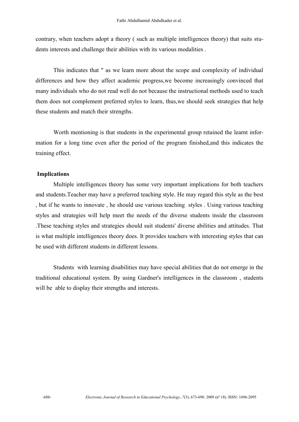contrary, when teachers adopt a theory ( such as multiple intelligences theory) that suits students interests and challenge their abilities with its various modalities .

This indicates that " as we learn more about the scope and complexity of individual differences and how they affect academic progress,we become increasingly convinced that many individuals who do not read well do not because the instructional methods used to teach them does not complement preferred styles to learn, thus,we should seek strategies that help these students and match their strengths.

Worth mentioning is that students in the experimental group retained the learnt information for a long time even after the period of the program finished,and this indicates the training effect.

#### **Implications**

Multiple intelligences theory has some very important implications for both teachers and students.Teacher may have a preferred teaching style. He may regard this style as the best , but if he wants to innovate , he should use various teaching styles . Using various teaching styles and strategies will help meet the needs of the diverse students inside the classroom .These teaching styles and strategies should suit students' diverse abilities and attitudes. That is what multiple intelligences theory does. It provides teachers with interesting styles that can be used with different students in different lessons.

Students with learning disabilities may have special abilities that do not emerge in the traditional educational system. By using Gardner's intelligences in the classroom , students will be able to display their strengths and interests.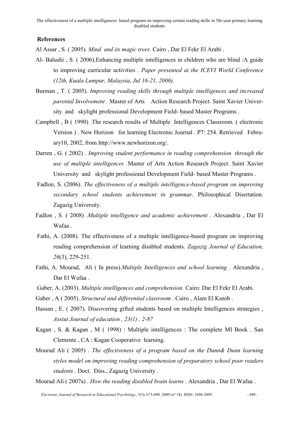#### **References**

Al Assar , S. ( 2005). *Mind and its magic trees.* Cairo , Dar El Fekr El Arabi .

- Al- Balushi , S. ( 2006).Enhancing multiple intelligences in children who are blind :A guide to improving curricular activities . *Paper presented at the ICEVI World Conference (12th, Kuala Lumpur, Malaysia, Jul 16-21, 2006).*
- Burman , T. ( 2005). *Improving reading skills through multiple intelligences and increased parental Involvement .* Master of Arts Action Research Project. Saint Xavier University and skylight professional Development Field- based Master Programs .
- Campbell , B ( 1990) .The research results of Multiple Intelligences Classroom. ( electronic Version ) . New Horizon for learning Electronic Journal . P7: 254. Retrieved February10, 2002, from [http://www.newhorizon.org/.](http://www.newhorizon.org/)
- Darren , G. ( 2002) . *Improving student performance in reading comprehension through the use of multiple intelligences .*Master of Arts Action Research Project. Saint Xavier University and skylight professional Development Field- based Master Programs .
- Fadlon, S. (2006). *The effectiveness of a multiple intelligence-based program on improving secondary school students achievement in grammar*. Philosophical Disertation. Zagazig University.
- Fadlon , S. ( 2008) .*Multiple intelligence and academic achievement .* Alexandria , Dar El Wafaa .
- Fathi, A. (2008). The effectiveness of a multiple intelligence-based program on improving reading comprehension of learning disabled students. *Zagazig Journal of Education, 26*(3), 229-251.
- Fathi, A. Mourad, Ali ( In press).*Multiple Intelligences and school learning* . Alexandria , Dar El Wafaa .
- Gaber, A. (2003). *Multiple intelligences and comprehension.* Cairo: Dar El Fekr El Arabi.
- Gaber , A ( 2005). *Structural and differential classroom* . Cairo , Alam El Kutob .
- Hassan , E. ( 2007). Discovering gifted students based on multiple Intelligences strategies , *Assiut Journal of education , 23(1) , 2-87*
- Kagan , S. & Kagan , M ( 1998) : Multiple intelligences : The complete MI Book . San Clemente , CA : Kagan Cooperative learning.
- Mourad Ali ( 2005) . *The effectiveness of a program based on the Dunn& Dunn learning styles model on improving reading comprehension of preparatory school poor readers students* . Doct. Diss., Zagazig University .

Mourad Ali ( 2007a) . *How the reading disabled brain learns* . Alexandria , Dar El Wafaa .